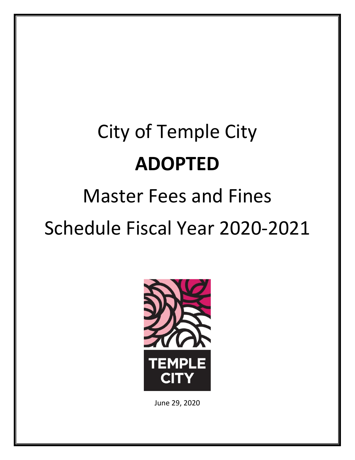# City of Temple City **ADOPTED** Master Fees and Fines

Schedule Fiscal Year 2020‐2021



June 29, 2020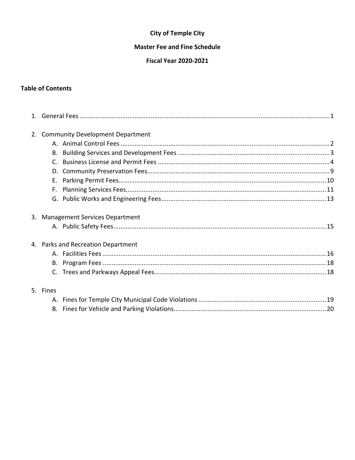### **City of Temple City**

#### **Master Fee and Fine Schedule**

#### **Fiscal Year 2020-2021**

#### **Table of Contents**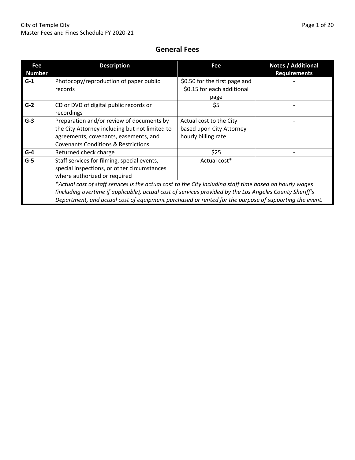# **General Fees**

| Fee<br><b>Number</b> | <b>Description</b>                                                                                       | Fee                           | <b>Notes / Additional</b><br><b>Requirements</b> |  |  |  |
|----------------------|----------------------------------------------------------------------------------------------------------|-------------------------------|--------------------------------------------------|--|--|--|
| $G-1$                | Photocopy/reproduction of paper public                                                                   | \$0.50 for the first page and |                                                  |  |  |  |
|                      | records                                                                                                  | \$0.15 for each additional    |                                                  |  |  |  |
|                      |                                                                                                          | page                          |                                                  |  |  |  |
| $G-2$                | CD or DVD of digital public records or<br>recordings                                                     | \$5                           |                                                  |  |  |  |
| $G-3$                | Preparation and/or review of documents by                                                                | Actual cost to the City       |                                                  |  |  |  |
|                      | the City Attorney including but not limited to                                                           | based upon City Attorney      |                                                  |  |  |  |
|                      | agreements, covenants, easements, and                                                                    | hourly billing rate           |                                                  |  |  |  |
|                      | <b>Covenants Conditions &amp; Restrictions</b>                                                           |                               |                                                  |  |  |  |
| $G-4$                | Returned check charge                                                                                    | \$25                          |                                                  |  |  |  |
| $G-5$                | Staff services for filming, special events,                                                              | Actual cost*                  |                                                  |  |  |  |
|                      | special inspections, or other circumstances                                                              |                               |                                                  |  |  |  |
|                      | where authorized or required                                                                             |                               |                                                  |  |  |  |
|                      | *Actual cost of staff services is the actual cost to the City including staff time based on hourly wages |                               |                                                  |  |  |  |
|                      | (including overtime if applicable), actual cost of services provided by the Los Angeles County Sheriff's |                               |                                                  |  |  |  |
|                      | Department, and actual cost of equipment purchased or rented for the purpose of supporting the event.    |                               |                                                  |  |  |  |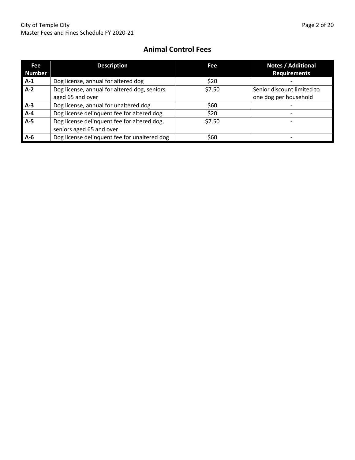# **Animal Control Fees**

| Fee           | <b>Description</b>                           | Fee    | Notes / Additional         |
|---------------|----------------------------------------------|--------|----------------------------|
| <b>Number</b> |                                              |        | <b>Requirements</b>        |
| $A-1$         | Dog license, annual for altered dog          | \$20   |                            |
| $A-2$         | Dog license, annual for altered dog, seniors | \$7.50 | Senior discount limited to |
|               | aged 65 and over                             |        | one dog per household      |
| $A-3$         | Dog license, annual for unaltered dog        | \$60   |                            |
| $A-4$         | Dog license delinquent fee for altered dog   | \$20   |                            |
| $A-5$         | Dog license delinquent fee for altered dog,  | \$7.50 |                            |
|               | seniors aged 65 and over                     |        |                            |
| $A-6$         | Dog license delinquent fee for unaltered dog | \$60   |                            |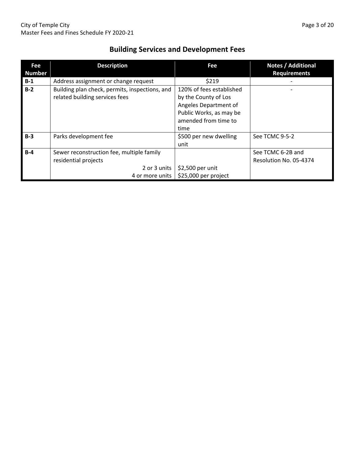| <b>Building Services and Development Fees</b> |  |
|-----------------------------------------------|--|
|-----------------------------------------------|--|

| Fee<br><b>Number</b> | <b>Description</b>                                                                                   | Fee                                                                                                                                  | Notes / Additional<br><b>Requirements</b>   |
|----------------------|------------------------------------------------------------------------------------------------------|--------------------------------------------------------------------------------------------------------------------------------------|---------------------------------------------|
| $B-1$                | Address assignment or change request                                                                 | \$219                                                                                                                                |                                             |
| $B-2$                | Building plan check, permits, inspections, and<br>related building services fees                     | 120% of fees established<br>by the County of Los<br>Angeles Department of<br>Public Works, as may be<br>amended from time to<br>time |                                             |
| $B-3$                | Parks development fee                                                                                | \$500 per new dwelling<br>unit                                                                                                       | See TCMC 9-5-2                              |
| $B-4$                | Sewer reconstruction fee, multiple family<br>residential projects<br>2 or 3 units<br>4 or more units | \$2,500 per unit<br>\$25,000 per project                                                                                             | See TCMC 6-2B and<br>Resolution No. 05-4374 |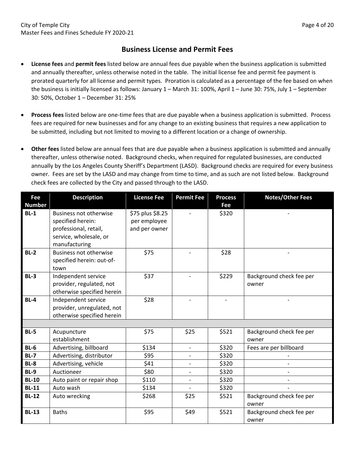### **Business License and Permit Fees**

- **License fees** and **permit fees** listed below are annual fees due payable when the business application is submitted and annually thereafter, unless otherwise noted in the table. The initial license fee and permit fee payment is prorated quarterly for all license and permit types. Proration is calculated as a percentage of the fee based on when the business is initially licensed as follows: January 1 – March 31: 100%, April 1 – June 30: 75%, July 1 – September 30: 50%, October 1 – December 31: 25%
- **Process fees** listed below are one‐time fees that are due payable when a business application is submitted. Process fees are required for new businesses and for any change to an existing business that requires a new application to be submitted, including but not limited to moving to a different location or a change of ownership.
- **Other fees** listed below are annual fees that are due payable when a business application is submitted and annually thereafter, unless otherwise noted. Background checks, when required for regulated businesses, are conducted annually by the Los Angeles County Sheriff's Department (LASD). Background checks are required for every business owner. Fees are set by the LASD and may change from time to time, and as such are not listed below. Background check fees are collected by the City and passed through to the LASD.

| <b>Fee</b><br><b>Number</b> | <b>Description</b>                                                                                                     | <b>License Fee</b>                                | <b>Permit Fee</b>        | <b>Process</b><br>Fee | <b>Notes/Other Fees</b>           |
|-----------------------------|------------------------------------------------------------------------------------------------------------------------|---------------------------------------------------|--------------------------|-----------------------|-----------------------------------|
| $BL-1$                      | <b>Business not otherwise</b><br>specified herein:<br>professional, retail,<br>service, wholesale, or<br>manufacturing | \$75 plus \$8.25<br>per employee<br>and per owner |                          | \$320                 |                                   |
| $BL-2$                      | <b>Business not otherwise</b><br>specified herein: out-of-<br>town                                                     | \$75                                              |                          | \$28                  |                                   |
| $BL-3$                      | Independent service<br>provider, regulated, not<br>otherwise specified herein                                          | \$37                                              |                          | \$229                 | Background check fee per<br>owner |
| $BL-4$                      | Independent service<br>provider, unregulated, not<br>otherwise specified herein                                        | \$28                                              |                          |                       |                                   |
|                             |                                                                                                                        |                                                   |                          |                       |                                   |
| $BL-5$                      | Acupuncture<br>establishment                                                                                           | \$75                                              | \$25                     | \$521                 | Background check fee per<br>owner |
| $BL-6$                      | Advertising, billboard                                                                                                 | \$134                                             | $\overline{\phantom{a}}$ | \$320                 | Fees are per billboard            |
| $BL-7$                      | Advertising, distributor                                                                                               | \$95                                              |                          | \$320                 |                                   |
| <b>BL-8</b>                 | Advertising, vehicle                                                                                                   | \$41                                              | $\overline{\phantom{a}}$ | \$320                 |                                   |
| <b>BL-9</b>                 | Auctioneer                                                                                                             | \$80                                              | $\overline{\phantom{a}}$ | \$320                 |                                   |
| <b>BL-10</b>                | Auto paint or repair shop                                                                                              | \$110                                             | $\overline{\phantom{a}}$ | \$320                 |                                   |
| <b>BL-11</b>                | Auto wash                                                                                                              | \$134                                             |                          | \$320                 |                                   |
| <b>BL-12</b>                | Auto wrecking                                                                                                          | \$268                                             | \$25                     | \$521                 | Background check fee per<br>owner |
| <b>BL-13</b>                | <b>Baths</b>                                                                                                           | \$95                                              | \$49                     | \$521                 | Background check fee per<br>owner |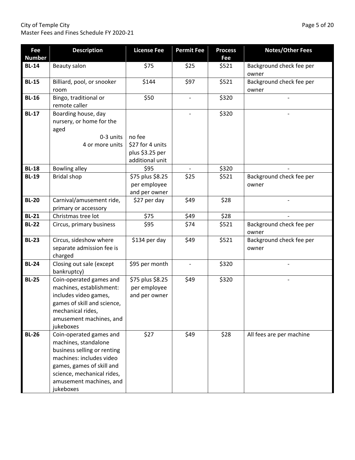#### City of Temple City **Page 5 of 20** Master Fees and Fines Schedule FY 2020‐21

| <b>Fee</b>    | <b>Description</b>                                                                                                                                                                                            | <b>License Fee</b>                                | <b>Permit Fee</b>        | <b>Process</b> | <b>Notes/Other Fees</b>           |
|---------------|---------------------------------------------------------------------------------------------------------------------------------------------------------------------------------------------------------------|---------------------------------------------------|--------------------------|----------------|-----------------------------------|
| <b>Number</b> |                                                                                                                                                                                                               |                                                   |                          | Fee            |                                   |
| <b>BL-14</b>  | Beauty salon                                                                                                                                                                                                  | \$75                                              | \$25                     | \$521          | Background check fee per<br>owner |
| <b>BL-15</b>  | Billiard, pool, or snooker<br>room                                                                                                                                                                            | \$144                                             | \$97                     | \$521          | Background check fee per<br>owner |
| <b>BL-16</b>  | Bingo, traditional or<br>remote caller                                                                                                                                                                        | \$50                                              |                          | \$320          |                                   |
| <b>BL-17</b>  | Boarding house, day<br>nursery, or home for the<br>aged<br>0-3 units<br>4 or more units                                                                                                                       | no fee<br>\$27 for 4 units                        |                          | \$320          |                                   |
|               |                                                                                                                                                                                                               | plus \$3.25 per<br>additional unit                |                          |                |                                   |
| <b>BL-18</b>  | <b>Bowling alley</b>                                                                                                                                                                                          | \$95                                              |                          | \$320          |                                   |
| <b>BL-19</b>  | <b>Bridal shop</b>                                                                                                                                                                                            | \$75 plus \$8.25<br>per employee<br>and per owner | \$25                     | \$521          | Background check fee per<br>owner |
| <b>BL-20</b>  | Carnival/amusement ride,<br>primary or accessory                                                                                                                                                              | \$27 per day                                      | \$49                     | \$28           |                                   |
| <b>BL-21</b>  | Christmas tree lot                                                                                                                                                                                            | \$75                                              | \$49                     | \$28           |                                   |
| <b>BL-22</b>  | Circus, primary business                                                                                                                                                                                      | \$95                                              | \$74                     | \$521          | Background check fee per<br>owner |
| <b>BL-23</b>  | Circus, sideshow where<br>separate admission fee is<br>charged                                                                                                                                                | \$134 per day                                     | \$49                     | \$521          | Background check fee per<br>owner |
| <b>BL-24</b>  | Closing out sale (except<br>bankruptcy)                                                                                                                                                                       | \$95 per month                                    | $\overline{\phantom{m}}$ | \$320          |                                   |
| <b>BL-25</b>  | Coin-operated games and<br>machines, establishment:<br>includes video games,<br>games of skill and science,<br>mechanical rides,<br>amusement machines, and<br>jukeboxes                                      | \$75 plus \$8.25<br>per employee<br>and per owner | \$49                     | \$320          |                                   |
| <b>BL-26</b>  | Coin-operated games and<br>machines, standalone<br>business selling or renting<br>machines: includes video<br>games, games of skill and<br>science, mechanical rides,<br>amusement machines, and<br>jukeboxes | \$27                                              | \$49                     | \$28           | All fees are per machine          |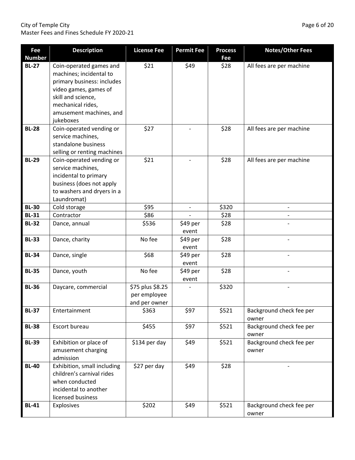#### City of Temple City **and Temple City Page 6 of 20** Master Fees and Fines Schedule FY 2020‐21

| Fee<br><b>Number</b> | <b>Description</b>                                                                                                                                                                           | <b>License Fee</b>                                | <b>Permit Fee</b>        | <b>Process</b><br>Fee | <b>Notes/Other Fees</b>           |
|----------------------|----------------------------------------------------------------------------------------------------------------------------------------------------------------------------------------------|---------------------------------------------------|--------------------------|-----------------------|-----------------------------------|
| <b>BL-27</b>         | Coin-operated games and<br>machines; incidental to<br>primary business: includes<br>video games, games of<br>skill and science,<br>mechanical rides,<br>amusement machines, and<br>jukeboxes | \$21                                              | \$49                     | \$28                  | All fees are per machine          |
| <b>BL-28</b>         | Coin-operated vending or<br>service machines,<br>standalone business<br>selling or renting machines                                                                                          | \$27                                              |                          | \$28                  | All fees are per machine          |
| <b>BL-29</b>         | Coin-operated vending or<br>service machines,<br>incidental to primary<br>business (does not apply<br>to washers and dryers in a<br>Laundromat)                                              | \$21                                              |                          | \$28                  | All fees are per machine          |
| <b>BL-30</b>         | Cold storage                                                                                                                                                                                 | \$95                                              | $\overline{\phantom{a}}$ | \$320                 |                                   |
| <b>BL-31</b>         | Contractor                                                                                                                                                                                   | \$86                                              |                          | \$28                  |                                   |
| <b>BL-32</b>         | Dance, annual                                                                                                                                                                                | \$536                                             | \$49 per<br>event        | \$28                  |                                   |
| <b>BL-33</b>         | Dance, charity                                                                                                                                                                               | No fee                                            | \$49 per<br>event        | \$28                  |                                   |
| <b>BL-34</b>         | Dance, single                                                                                                                                                                                | \$68                                              | \$49 per<br>event        | \$28                  |                                   |
| <b>BL-35</b>         | Dance, youth                                                                                                                                                                                 | No fee                                            | \$49 per<br>event        | \$28                  |                                   |
| <b>BL-36</b>         | Daycare, commercial                                                                                                                                                                          | \$75 plus \$8.25<br>per employee<br>and per owner |                          | \$320                 |                                   |
| <b>BL-37</b>         | Entertainment                                                                                                                                                                                | \$363                                             | \$97                     | \$521                 | Background check fee per<br>owner |
| <b>BL-38</b>         | Escort bureau                                                                                                                                                                                | \$455                                             | \$97                     | \$521                 | Background check fee per<br>owner |
| <b>BL-39</b>         | Exhibition or place of<br>amusement charging<br>admission                                                                                                                                    | \$134 per day                                     | \$49                     | \$521                 | Background check fee per<br>owner |
| <b>BL-40</b>         | Exhibition, small including<br>children's carnival rides<br>when conducted<br>incidental to another<br>licensed business                                                                     | \$27 per day                                      | \$49                     | \$28                  |                                   |
| <b>BL-41</b>         | Explosives                                                                                                                                                                                   | \$202                                             | \$49                     | \$521                 | Background check fee per<br>owner |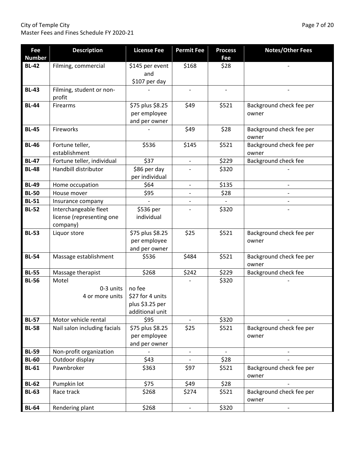City of Temple City **Page 7 of 20** Master Fees and Fines Schedule FY 2020‐21

| Fee<br><b>Number</b> | <b>Description</b>                 | <b>License Fee</b>             | <b>Permit Fee</b>        | <b>Process</b><br>Fee | <b>Notes/Other Fees</b>           |
|----------------------|------------------------------------|--------------------------------|--------------------------|-----------------------|-----------------------------------|
| <b>BL-42</b>         | Filming, commercial                | \$145 per event                | \$168                    | \$28                  |                                   |
|                      |                                    | and                            |                          |                       |                                   |
|                      |                                    | \$107 per day                  |                          |                       |                                   |
| <b>BL-43</b>         | Filming, student or non-<br>profit |                                |                          |                       |                                   |
| <b>BL-44</b>         | Firearms                           | \$75 plus \$8.25               | \$49                     | \$521                 | Background check fee per          |
|                      |                                    | per employee                   |                          |                       | owner                             |
|                      |                                    | and per owner                  |                          |                       |                                   |
| <b>BL-45</b>         | Fireworks                          |                                | \$49                     | \$28                  | Background check fee per<br>owner |
| <b>BL-46</b>         | Fortune teller,                    | \$536                          | \$145                    | \$521                 | Background check fee per          |
|                      | establishment                      |                                |                          |                       | owner                             |
| <b>BL-47</b>         | Fortune teller, individual         | \$37                           | $\overline{\phantom{a}}$ | \$229                 | Background check fee              |
| <b>BL-48</b>         | Handbill distributor               | \$86 per day<br>per individual |                          | \$320                 |                                   |
| <b>BL-49</b>         | Home occupation                    | \$64                           | $\overline{\phantom{a}}$ | \$135                 |                                   |
| <b>BL-50</b>         | House mover                        | \$95                           |                          | \$28                  |                                   |
| <b>BL-51</b>         | Insurance company                  |                                |                          |                       |                                   |
| <b>BL-52</b>         | Interchangeable fleet              | \$536 per                      |                          | \$320                 |                                   |
|                      | license (representing one          | individual                     |                          |                       |                                   |
|                      | company)                           |                                |                          |                       |                                   |
| <b>BL-53</b>         | Liquor store                       | \$75 plus \$8.25               | \$25                     | \$521                 | Background check fee per          |
|                      |                                    | per employee                   |                          |                       | owner                             |
|                      |                                    | and per owner                  |                          |                       |                                   |
| <b>BL-54</b>         | Massage establishment              | \$536                          | \$484                    | \$521                 | Background check fee per<br>owner |
| <b>BL-55</b>         | Massage therapist                  | \$268                          | \$242                    | \$229                 | Background check fee              |
| <b>BL-56</b>         | Motel                              |                                |                          | \$320                 |                                   |
|                      | 0-3 units                          | no fee                         |                          |                       |                                   |
|                      | 4 or more units                    | \$27 for 4 units               |                          |                       |                                   |
|                      |                                    | plus \$3.25 per                |                          |                       |                                   |
| <b>BL-57</b>         | Motor vehicle rental               | additional unit<br>\$95        | $\overline{a}$           | \$320                 |                                   |
| <b>BL-58</b>         | Nail salon including facials       | \$75 plus \$8.25               | \$25                     | \$521                 | Background check fee per          |
|                      |                                    | per employee                   |                          |                       | owner                             |
|                      |                                    | and per owner                  |                          |                       |                                   |
| <b>BL-59</b>         | Non-profit organization            |                                |                          |                       |                                   |
| <b>BL-60</b>         | Outdoor display                    | \$43                           |                          | \$28                  |                                   |
| <b>BL-61</b>         | Pawnbroker                         | \$363                          | \$97                     | \$521                 | Background check fee per          |
|                      |                                    |                                |                          |                       | owner                             |
| <b>BL-62</b>         | Pumpkin lot                        | \$75                           | \$49                     | \$28                  |                                   |
| <b>BL-63</b>         | Race track                         | \$268                          | \$274                    | \$521                 | Background check fee per<br>owner |
| <b>BL-64</b>         | Rendering plant                    | \$268                          |                          | 5320                  |                                   |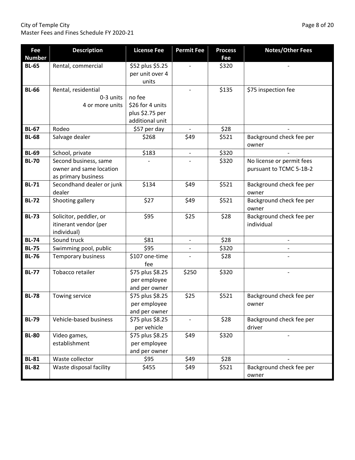City of Temple City **Page 8 of 20** Master Fees and Fines Schedule FY 2020‐21

|                      |                           |                       | <b>Permit Fee</b>        |                       |                                   |
|----------------------|---------------------------|-----------------------|--------------------------|-----------------------|-----------------------------------|
| Fee<br><b>Number</b> | <b>Description</b>        | <b>License Fee</b>    |                          | <b>Process</b><br>Fee | <b>Notes/Other Fees</b>           |
| <b>BL-65</b>         | Rental, commercial        | \$52 plus \$5.25      |                          | \$320                 |                                   |
|                      |                           | per unit over 4       |                          |                       |                                   |
|                      |                           | units                 |                          |                       |                                   |
| <b>BL-66</b>         | Rental, residential       |                       |                          | \$135                 | \$75 inspection fee               |
|                      | 0-3 units                 | no fee                |                          |                       |                                   |
|                      | 4 or more units           | \$26 for 4 units      |                          |                       |                                   |
|                      |                           | plus \$2.75 per       |                          |                       |                                   |
|                      |                           | additional unit       |                          |                       |                                   |
| <b>BL-67</b>         | Rodeo                     | \$57 per day          |                          | \$28                  |                                   |
| <b>BL-68</b>         | Salvage dealer            | \$268                 | \$49                     | \$521                 | Background check fee per          |
|                      |                           |                       |                          |                       | owner                             |
| <b>BL-69</b>         | School, private           | \$183                 | $\overline{\phantom{0}}$ | \$320                 |                                   |
| <b>BL-70</b>         | Second business, same     |                       |                          | \$320                 | No license or permit fees         |
|                      | owner and same location   |                       |                          |                       | pursuant to TCMC 5-1B-2           |
|                      | as primary business       |                       |                          |                       |                                   |
| <b>BL-71</b>         | Secondhand dealer or junk | \$134                 | \$49                     | \$521                 | Background check fee per          |
|                      | dealer                    |                       |                          |                       | owner                             |
| <b>BL-72</b>         | Shooting gallery          | \$27                  | \$49                     | \$521                 | Background check fee per<br>owner |
| <b>BL-73</b>         | Solicitor, peddler, or    | \$95                  | \$25                     | \$28                  | Background check fee per          |
|                      | itinerant vendor (per     |                       |                          |                       | individual                        |
|                      | individual)               |                       |                          |                       |                                   |
| <b>BL-74</b>         | Sound truck               | \$81                  | $\overline{\phantom{0}}$ | \$28                  |                                   |
| <b>BL-75</b>         | Swimming pool, public     | \$95                  |                          | \$320                 |                                   |
| <b>BL-76</b>         | Temporary business        | \$107 one-time<br>fee |                          | \$28                  |                                   |
| <b>BL-77</b>         | Tobacco retailer          | \$75 plus \$8.25      | \$250                    | \$320                 |                                   |
|                      |                           | per employee          |                          |                       |                                   |
|                      |                           | and per owner         |                          |                       |                                   |
| <b>BL-78</b>         | Towing service            | \$75 plus \$8.25      | \$25                     | \$521                 | Background check fee per          |
|                      |                           | per employee          |                          |                       | owner                             |
|                      |                           | and per owner         |                          |                       |                                   |
| <b>BL-79</b>         | Vehicle-based business    | \$75 plus \$8.25      |                          | \$28                  | Background check fee per          |
|                      |                           | per vehicle           |                          |                       | driver                            |
| <b>BL-80</b>         | Video games,              | \$75 plus \$8.25      | \$49                     | \$320                 |                                   |
|                      | establishment             | per employee          |                          |                       |                                   |
|                      |                           | and per owner         |                          |                       |                                   |
| <b>BL-81</b>         | Waste collector           | \$95                  | \$49                     | \$28                  |                                   |
| <b>BL-82</b>         | Waste disposal facility   | \$455                 | \$49                     | \$521                 | Background check fee per          |
|                      |                           |                       |                          |                       | owner                             |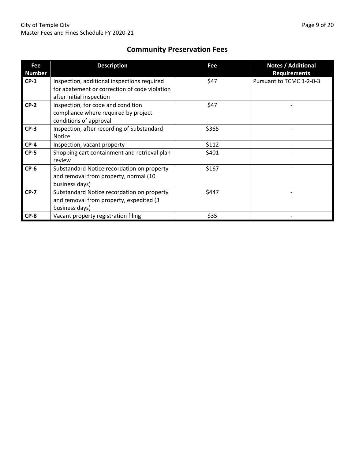# **Community Preservation Fees**

| Fee<br><b>Number</b> | <b>Description</b>                                                                                                       | Fee   | <b>Notes / Additional</b><br><b>Requirements</b> |
|----------------------|--------------------------------------------------------------------------------------------------------------------------|-------|--------------------------------------------------|
| $CP-1$               | Inspection, additional inspections required<br>for abatement or correction of code violation<br>after initial inspection | \$47  | Pursuant to TCMC 1-2-0-3                         |
| $CP-2$               | Inspection, for code and condition<br>compliance where required by project<br>conditions of approval                     | \$47  |                                                  |
| $CP-3$               | Inspection, after recording of Substandard<br><b>Notice</b>                                                              | \$365 |                                                  |
| $CP-4$               | Inspection, vacant property                                                                                              | \$112 |                                                  |
| $CP-5$               | Shopping cart containment and retrieval plan<br>review                                                                   | \$401 |                                                  |
| $CP-6$               | Substandard Notice recordation on property<br>and removal from property, normal (10<br>business days)                    | \$167 |                                                  |
| $CP-7$               | Substandard Notice recordation on property<br>and removal from property, expedited (3<br>business days)                  | \$447 |                                                  |
| $CP-8$               | Vacant property registration filing                                                                                      | \$35  |                                                  |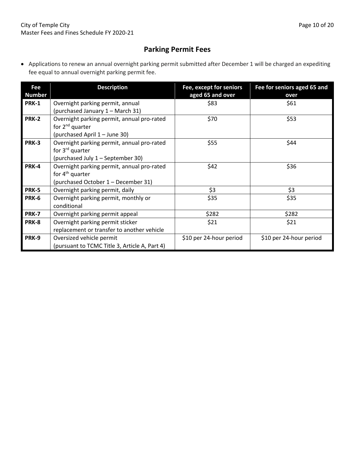# **Parking Permit Fees**

 Applications to renew an annual overnight parking permit submitted after December 1 will be charged an expediting fee equal to annual overnight parking permit fee.

| Fee<br><b>Number</b> | <b>Description</b>                                                                                               | Fee, except for seniors<br>aged 65 and over | Fee for seniors aged 65 and<br>over |
|----------------------|------------------------------------------------------------------------------------------------------------------|---------------------------------------------|-------------------------------------|
| <b>PRK-1</b>         | Overnight parking permit, annual<br>(purchased January 1 - March 31)                                             | \$83                                        | \$61                                |
| <b>PRK-2</b>         | Overnight parking permit, annual pro-rated<br>for $2^{nd}$ quarter<br>(purchased April 1 - June 30)              | \$70                                        | \$53                                |
| <b>PRK-3</b>         | Overnight parking permit, annual pro-rated<br>for 3 <sup>rd</sup> quarter<br>(purchased July 1 - September 30)   | \$55                                        | \$44                                |
| <b>PRK-4</b>         | Overnight parking permit, annual pro-rated<br>for 4 <sup>th</sup> quarter<br>(purchased October 1 – December 31) | \$42                                        | \$36                                |
| PRK-5                | Overnight parking permit, daily                                                                                  | \$3                                         | \$3                                 |
| PRK-6                | Overnight parking permit, monthly or<br>conditional                                                              | \$35                                        | \$35                                |
| <b>PRK-7</b>         | Overnight parking permit appeal                                                                                  | \$282                                       | \$282                               |
| PRK-8                | Overnight parking permit sticker<br>replacement or transfer to another vehicle                                   | \$21                                        | \$21                                |
| PRK-9                | Oversized vehicle permit<br>(pursuant to TCMC Title 3, Article A, Part 4)                                        | \$10 per 24-hour period                     | \$10 per 24-hour period             |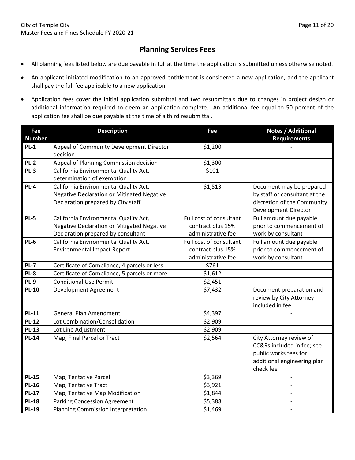## **Planning Services Fees**

- All planning fees listed below are due payable in full at the time the application is submitted unless otherwise noted.
- An applicant‐initiated modification to an approved entitlement is considered a new application, and the applicant shall pay the full fee applicable to a new application.
- Application fees cover the initial application submittal and two resubmittals due to changes in project design or additional information required to deem an application complete. An additional fee equal to 50 percent of the application fee shall be due payable at the time of a third resubmittal.

| Fee           | <b>Description</b>                                | Fee                     | <b>Notes / Additional</b>     |
|---------------|---------------------------------------------------|-------------------------|-------------------------------|
| <b>Number</b> |                                                   |                         | <b>Requirements</b>           |
| $PL-1$        | Appeal of Community Development Director          | \$1,200                 |                               |
|               | decision                                          |                         |                               |
| <b>PL-2</b>   | Appeal of Planning Commission decision            | \$1,300                 |                               |
| $PL-3$        | California Environmental Quality Act,             | \$101                   |                               |
|               | determination of exemption                        |                         |                               |
| <b>PL-4</b>   | California Environmental Quality Act,             | \$1,513                 | Document may be prepared      |
|               | Negative Declaration or Mitigated Negative        |                         | by staff or consultant at the |
|               | Declaration prepared by City staff                |                         | discretion of the Community   |
|               |                                                   |                         | Development Director          |
| <b>PL-5</b>   | California Environmental Quality Act,             | Full cost of consultant | Full amount due payable       |
|               | <b>Negative Declaration or Mitigated Negative</b> | contract plus 15%       | prior to commencement of      |
|               | Declaration prepared by consultant                | administrative fee      | work by consultant            |
| <b>PL-6</b>   | California Environmental Quality Act,             | Full cost of consultant | Full amount due payable       |
|               | <b>Environmental Impact Report</b>                | contract plus 15%       | prior to commencement of      |
|               |                                                   | administrative fee      | work by consultant            |
| <b>PL-7</b>   | Certificate of Compliance, 4 parcels or less      | \$761                   |                               |
| PL-8          | Certificate of Compliance, 5 parcels or more      | \$1,612                 |                               |
| PL-9          | <b>Conditional Use Permit</b>                     | \$2,451                 |                               |
| <b>PL-10</b>  | Development Agreement                             | \$7,432                 | Document preparation and      |
|               |                                                   |                         | review by City Attorney       |
|               |                                                   |                         | included in fee               |
| <b>PL-11</b>  | <b>General Plan Amendment</b>                     | \$4,397                 |                               |
| <b>PL-12</b>  | Lot Combination/Consolidation                     | \$2,909                 |                               |
| <b>PL-13</b>  | Lot Line Adjustment                               | \$2,909                 |                               |
| <b>PL-14</b>  | Map, Final Parcel or Tract                        | \$2,564                 | City Attorney review of       |
|               |                                                   |                         | CC&Rs included in fee; see    |
|               |                                                   |                         | public works fees for         |
|               |                                                   |                         | additional engineering plan   |
|               |                                                   |                         | check fee                     |
| <b>PL-15</b>  | Map, Tentative Parcel                             | \$3,369                 | $\overline{\phantom{m}}$      |
| <b>PL-16</b>  | Map, Tentative Tract                              | \$3,921                 |                               |
| <b>PL-17</b>  | Map, Tentative Map Modification                   | \$1,844                 |                               |
| <b>PL-18</b>  | <b>Parking Concession Agreement</b>               | \$5,388                 |                               |
| <b>PL-19</b>  | Planning Commission Interpretation                | \$1,469                 |                               |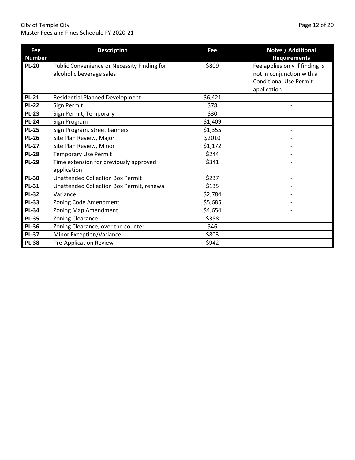#### City of Temple City Page 12 of 20 Master Fees and Fines Schedule FY 2020‐21

| <b>Fee</b><br><b>Number</b> | <b>Description</b>                                                      | Fee     | Notes / Additional<br><b>Requirements</b>                                                                   |
|-----------------------------|-------------------------------------------------------------------------|---------|-------------------------------------------------------------------------------------------------------------|
| <b>PL-20</b>                | Public Convenience or Necessity Finding for<br>alcoholic beverage sales | \$809   | Fee applies only if finding is<br>not in conjunction with a<br><b>Conditional Use Permit</b><br>application |
| <b>PL-21</b>                | <b>Residential Planned Development</b>                                  | \$6,421 |                                                                                                             |
| <b>PL-22</b>                | Sign Permit                                                             | \$78    |                                                                                                             |
| <b>PL-23</b>                | Sign Permit, Temporary                                                  | \$30    |                                                                                                             |
| <b>PL-24</b>                | Sign Program                                                            | \$1,409 |                                                                                                             |
| <b>PL-25</b>                | Sign Program, street banners                                            | \$1,355 |                                                                                                             |
| <b>PL-26</b>                | Site Plan Review, Major                                                 | \$2010  |                                                                                                             |
| <b>PL-27</b>                | Site Plan Review, Minor                                                 | \$1,172 |                                                                                                             |
| <b>PL-28</b>                | <b>Temporary Use Permit</b>                                             | \$244   |                                                                                                             |
| <b>PL-29</b>                | Time extension for previously approved<br>application                   | \$341   |                                                                                                             |
| <b>PL-30</b>                | <b>Unattended Collection Box Permit</b>                                 | \$237   |                                                                                                             |
| <b>PL-31</b>                | Unattended Collection Box Permit, renewal                               | \$135   |                                                                                                             |
| <b>PL-32</b>                | Variance                                                                | \$2,784 |                                                                                                             |
| <b>PL-33</b>                | Zoning Code Amendment                                                   | \$5,685 |                                                                                                             |
| <b>PL-34</b>                | Zoning Map Amendment                                                    | \$4,654 |                                                                                                             |
| <b>PL-35</b>                | <b>Zoning Clearance</b>                                                 | \$358   |                                                                                                             |
| <b>PL-36</b>                | Zoning Clearance, over the counter                                      | \$46    |                                                                                                             |
| <b>PL-37</b>                | Minor Exception/Variance                                                | \$803   |                                                                                                             |
| <b>PL-38</b>                | Pre-Application Review                                                  | \$942   |                                                                                                             |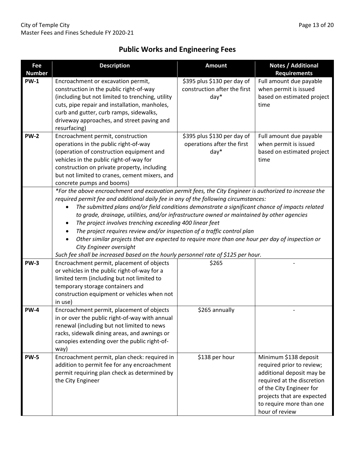# **Public Works and Engineering Fees**

| Fee<br><b>Number</b> | <b>Description</b>                                                                                                                   | <b>Amount</b>                | Notes / Additional<br><b>Requirements</b> |  |  |
|----------------------|--------------------------------------------------------------------------------------------------------------------------------------|------------------------------|-------------------------------------------|--|--|
| <b>PW-1</b>          | Encroachment or excavation permit,                                                                                                   | \$395 plus \$130 per day of  | Full amount due payable                   |  |  |
|                      | construction in the public right-of-way                                                                                              | construction after the first | when permit is issued                     |  |  |
|                      | (including but not limited to trenching, utility                                                                                     | $day*$                       | based on estimated project                |  |  |
|                      | cuts, pipe repair and installation, manholes,                                                                                        |                              | time                                      |  |  |
|                      | curb and gutter, curb ramps, sidewalks,                                                                                              |                              |                                           |  |  |
|                      | driveway approaches, and street paving and                                                                                           |                              |                                           |  |  |
|                      | resurfacing)                                                                                                                         |                              |                                           |  |  |
| <b>PW-2</b>          | Encroachment permit, construction                                                                                                    | \$395 plus \$130 per day of  | Full amount due payable                   |  |  |
|                      | operations in the public right-of-way                                                                                                | operations after the first   | when permit is issued                     |  |  |
|                      | (operation of construction equipment and                                                                                             | $day*$                       | based on estimated project                |  |  |
|                      | vehicles in the public right-of-way for                                                                                              |                              | time                                      |  |  |
|                      | construction on private property, including                                                                                          |                              |                                           |  |  |
|                      | but not limited to cranes, cement mixers, and                                                                                        |                              |                                           |  |  |
|                      | concrete pumps and booms)<br>*For the above encroachment and excavation permit fees, the City Engineer is authorized to increase the |                              |                                           |  |  |
|                      | required permit fee and additional daily fee in any of the following circumstances:                                                  |                              |                                           |  |  |
|                      | The submitted plans and/or field conditions demonstrate a significant chance of impacts related                                      |                              |                                           |  |  |
|                      | to grade, drainage, utilities, and/or infrastructure owned or maintained by other agencies                                           |                              |                                           |  |  |
|                      | The project involves trenching exceeding 400 linear feet<br>٠                                                                        |                              |                                           |  |  |
|                      | The project requires review and/or inspection of a traffic control plan                                                              |                              |                                           |  |  |
|                      | Other similar projects that are expected to require more than one hour per day of inspection or                                      |                              |                                           |  |  |
|                      | City Engineer oversight                                                                                                              |                              |                                           |  |  |
|                      | Such fee shall be increased based on the hourly personnel rate of \$125 per hour.                                                    |                              |                                           |  |  |
| <b>PW-3</b>          | Encroachment permit, placement of objects                                                                                            | \$265                        |                                           |  |  |
|                      | or vehicles in the public right-of-way for a                                                                                         |                              |                                           |  |  |
|                      | limited term (including but not limited to                                                                                           |                              |                                           |  |  |
|                      | temporary storage containers and                                                                                                     |                              |                                           |  |  |
|                      | construction equipment or vehicles when not                                                                                          |                              |                                           |  |  |
|                      | in use)                                                                                                                              |                              |                                           |  |  |
| <b>PW-4</b>          | Encroachment permit, placement of objects                                                                                            | \$265 annually               |                                           |  |  |
|                      | in or over the public right-of-way with annual                                                                                       |                              |                                           |  |  |
|                      | renewal (including but not limited to news                                                                                           |                              |                                           |  |  |
|                      | racks, sidewalk dining areas, and awnings or                                                                                         |                              |                                           |  |  |
|                      | canopies extending over the public right-of-                                                                                         |                              |                                           |  |  |
| <b>PW-5</b>          | way)<br>Encroachment permit, plan check: required in                                                                                 | \$138 per hour               | Minimum \$138 deposit                     |  |  |
|                      | addition to permit fee for any encroachment                                                                                          |                              | required prior to review;                 |  |  |
|                      | permit requiring plan check as determined by                                                                                         |                              | additional deposit may be                 |  |  |
|                      | the City Engineer                                                                                                                    |                              | required at the discretion                |  |  |
|                      |                                                                                                                                      |                              | of the City Engineer for                  |  |  |
|                      |                                                                                                                                      |                              | projects that are expected                |  |  |
|                      |                                                                                                                                      |                              | to require more than one                  |  |  |
|                      |                                                                                                                                      |                              | hour of review                            |  |  |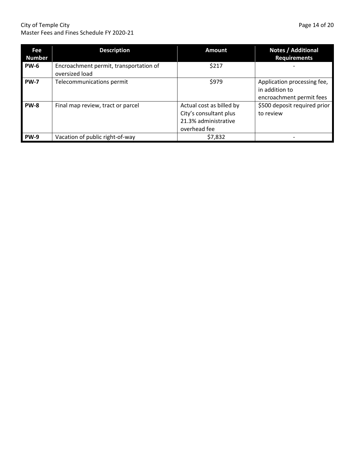#### City of Temple City **Department City City** of Temple City **Page 14 of 20** Master Fees and Fines Schedule FY 2020‐21

| Fee<br><b>Number</b> | <b>Description</b>                                       | <b>Amount</b>                                                                              | Notes / Additional<br><b>Requirements</b>                                 |
|----------------------|----------------------------------------------------------|--------------------------------------------------------------------------------------------|---------------------------------------------------------------------------|
| <b>PW-6</b>          | Encroachment permit, transportation of<br>oversized load | \$217                                                                                      |                                                                           |
| <b>PW-7</b>          | Telecommunications permit                                | \$979                                                                                      | Application processing fee,<br>in addition to<br>encroachment permit fees |
| <b>PW-8</b>          | Final map review, tract or parcel                        | Actual cost as billed by<br>City's consultant plus<br>21.3% administrative<br>overhead fee | \$500 deposit required prior<br>to review                                 |
| <b>PW-9</b>          | Vacation of public right-of-way                          | \$7,832                                                                                    |                                                                           |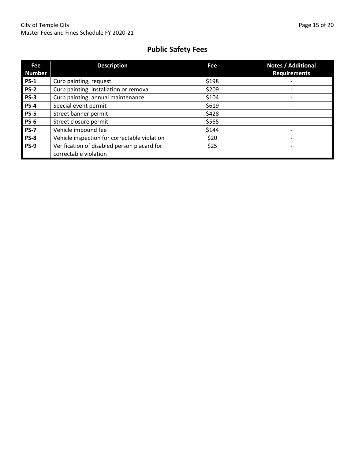# **Public Safety Fees**

| Fee<br><b>Number</b> | <b>Description</b>                                                   | Fee   | <b>Notes / Additional</b><br><b>Requirements</b> |
|----------------------|----------------------------------------------------------------------|-------|--------------------------------------------------|
| <b>PS-1</b>          | Curb painting, request                                               | \$198 |                                                  |
| <b>PS-2</b>          | Curb painting, installation or removal                               | \$209 |                                                  |
| $PS-3$               | Curb painting, annual maintenance                                    | \$104 |                                                  |
| <b>PS-4</b>          | Special event permit                                                 | \$619 |                                                  |
| <b>PS-5</b>          | Street banner permit                                                 | \$428 |                                                  |
| <b>PS-6</b>          | Street closure permit                                                | \$565 |                                                  |
| <b>PS-7</b>          | Vehicle impound fee                                                  | \$144 |                                                  |
| <b>PS-8</b>          | Vehicle inspection for correctable violation                         | \$20  |                                                  |
| <b>PS-9</b>          | Verification of disabled person placard for<br>correctable violation | \$25  |                                                  |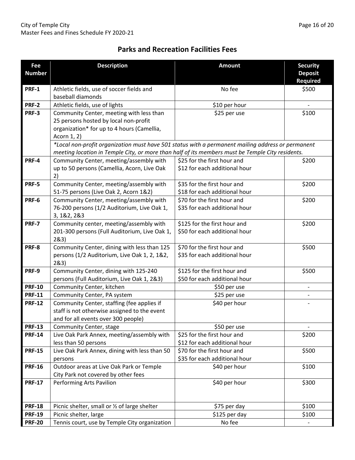# **Parks and Recreation Facilities Fees**

| Fee<br><b>Number</b> | <b>Description</b>                                                                                | <b>Amount</b>                 | <b>Security</b><br><b>Deposit</b><br><b>Required</b> |
|----------------------|---------------------------------------------------------------------------------------------------|-------------------------------|------------------------------------------------------|
| <b>PRF-1</b>         | Athletic fields, use of soccer fields and                                                         | No fee                        | \$500                                                |
|                      | baseball diamonds                                                                                 |                               |                                                      |
| <b>PRF-2</b>         | Athletic fields, use of lights                                                                    | \$10 per hour                 |                                                      |
| PRF-3                | Community Center, meeting with less than                                                          | \$25 per use                  | \$100                                                |
|                      | 25 persons hosted by local non-profit                                                             |                               |                                                      |
|                      | organization* for up to 4 hours (Camellia,                                                        |                               |                                                      |
|                      | Acorn 1, 2)                                                                                       |                               |                                                      |
|                      | *Local non-profit organization must have 501 status with a permanent mailing address or permanent |                               |                                                      |
|                      | meeting location in Temple City, or more than half of its members must be Temple City residents.  |                               |                                                      |
| PRF-4                | Community Center, meeting/assembly with                                                           | \$25 for the first hour and   | \$200                                                |
|                      | up to 50 persons (Camellia, Acorn, Live Oak                                                       | \$12 for each additional hour |                                                      |
|                      | 2)                                                                                                |                               |                                                      |
| PRF-5                | Community Center, meeting/assembly with                                                           | \$35 for the first hour and   | \$200                                                |
|                      | 51-75 persons (Live Oak 2, Acorn 1&2)                                                             | \$18 for each additional hour |                                                      |
| <b>PRF-6</b>         | Community Center, meeting/assembly with                                                           | \$70 for the first hour and   | \$200                                                |
|                      | 76-200 persons (1/2 Auditorium, Live Oak 1,                                                       | \$35 for each additional hour |                                                      |
|                      | 3, 1&2, 2&3                                                                                       |                               |                                                      |
| PRF-7                | Community center, meeting/assembly with                                                           | \$125 for the first hour and  | \$200                                                |
|                      | 201-300 persons (Full Auditorium, Live Oak 1,                                                     | \$50 for each additional hour |                                                      |
|                      | 283)                                                                                              |                               |                                                      |
| PRF-8                | Community Center, dining with less than 125                                                       | \$70 for the first hour and   | \$500                                                |
|                      | persons (1/2 Auditorium, Live Oak 1, 2, 1&2,<br>283)                                              | \$35 for each additional hour |                                                      |
| PRF-9                | Community Center, dining with 125-240                                                             | \$125 for the first hour and  | \$500                                                |
|                      | persons (Full Auditorium, Live Oak 1, 2&3)                                                        | \$50 for each additional hour |                                                      |
| <b>PRF-10</b>        | Community Center, kitchen                                                                         | \$50 per use                  |                                                      |
| <b>PRF-11</b>        | Community Center, PA system                                                                       | \$25 per use                  |                                                      |
| <b>PRF-12</b>        | Community Center, staffing (fee applies if                                                        | \$40 per hour                 |                                                      |
|                      | staff is not otherwise assigned to the event                                                      |                               |                                                      |
|                      | and for all events over 300 people)                                                               |                               |                                                      |
| <b>PRF-13</b>        | Community Center, stage                                                                           | \$50 per use                  |                                                      |
| <b>PRF-14</b>        | Live Oak Park Annex, meeting/assembly with                                                        | \$25 for the first hour and   | \$200                                                |
|                      | less than 50 persons                                                                              | \$12 for each additional hour |                                                      |
| <b>PRF-15</b>        | Live Oak Park Annex, dining with less than 50                                                     | \$70 for the first hour and   | \$500                                                |
|                      | persons                                                                                           | \$35 for each additional hour |                                                      |
| <b>PRF-16</b>        | Outdoor areas at Live Oak Park or Temple                                                          | \$100<br>\$40 per hour        |                                                      |
|                      | City Park not covered by other fees                                                               |                               |                                                      |
| <b>PRF-17</b>        | Performing Arts Pavilion                                                                          | \$300<br>\$40 per hour        |                                                      |
|                      |                                                                                                   |                               |                                                      |
|                      |                                                                                                   |                               |                                                      |
| <b>PRF-18</b>        | Picnic shelter, small or 1/2 of large shelter                                                     | \$75 per day                  | \$100                                                |
| <b>PRF-19</b>        | Picnic shelter, large                                                                             | \$125 per day                 | \$100                                                |
| <b>PRF-20</b>        | Tennis court, use by Temple City organization                                                     | No fee                        |                                                      |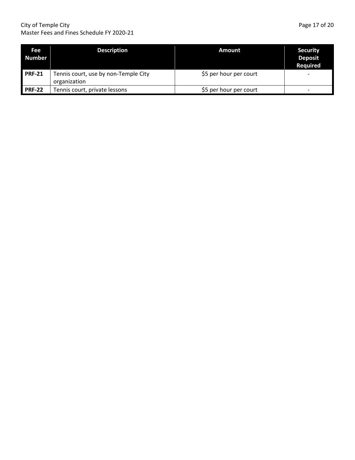#### City of Temple City Page 17 of 20 Master Fees and Fines Schedule FY 2020‐21

| Page 17 of 20 |  |  |
|---------------|--|--|

| Fee<br><b>Number</b> | <b>Description</b>                                   | Amount                 | <b>Security</b><br><b>Deposit</b><br><b>Required</b> |
|----------------------|------------------------------------------------------|------------------------|------------------------------------------------------|
| <b>PRF-21</b>        | Tennis court, use by non-Temple City<br>organization | \$5 per hour per court |                                                      |
| <b>PRF-22</b>        | Tennis court, private lessons                        | \$5 per hour per court | $\overline{\phantom{0}}$                             |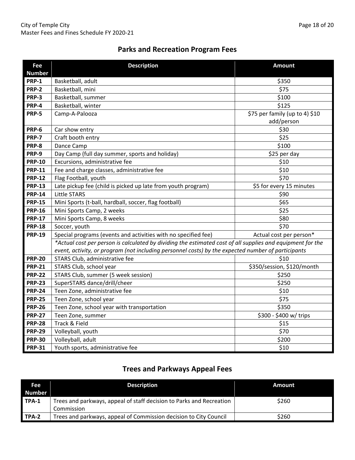# **Parks and Recreation Program Fees**

| Fee           | <b>Description</b>                                                                                         | <b>Amount</b>                  |
|---------------|------------------------------------------------------------------------------------------------------------|--------------------------------|
| <b>Number</b> |                                                                                                            |                                |
| <b>PRP-1</b>  | Basketball, adult                                                                                          | \$350                          |
| <b>PRP-2</b>  | Basketball, mini                                                                                           | \$75                           |
| <b>PRP-3</b>  | Basketball, summer                                                                                         | \$100                          |
| PRP-4         | Basketball, winter                                                                                         | \$125                          |
| <b>PRP-5</b>  | Camp-A-Palooza                                                                                             | \$75 per family (up to 4) \$10 |
|               |                                                                                                            | add/person                     |
| PRP-6         | Car show entry                                                                                             | \$30                           |
| <b>PRP-7</b>  | Craft booth entry                                                                                          | \$25                           |
| PRP-8         | Dance Camp                                                                                                 | \$100                          |
| PRP-9         | Day Camp (full day summer, sports and holiday)                                                             | \$25 per day                   |
| <b>PRP-10</b> | Excursions, administrative fee                                                                             | \$10                           |
| <b>PRP-11</b> | Fee and charge classes, administrative fee                                                                 | \$10                           |
| <b>PRP-12</b> | Flag Football, youth                                                                                       | \$70                           |
| <b>PRP-13</b> | Late pickup fee (child is picked up late from youth program)                                               | \$5 for every 15 minutes       |
| <b>PRP-14</b> | <b>Little STARS</b>                                                                                        | \$90                           |
| <b>PRP-15</b> | Mini Sports (t-ball, hardball, soccer, flag football)                                                      | \$65                           |
| <b>PRP-16</b> | Mini Sports Camp, 2 weeks                                                                                  | \$25                           |
| <b>PRP-17</b> | Mini Sports Camp, 8 weeks                                                                                  | \$80                           |
| <b>PRP-18</b> | Soccer, youth                                                                                              | \$70                           |
| <b>PRP-19</b> | Special programs (events and activities with no specified fee)                                             | Actual cost per person*        |
|               | *Actual cost per person is calculated by dividing the estimated cost of all supplies and equipment for the |                                |
|               | event, activity, or program (not including personnel costs) by the expected number of participants         |                                |
| <b>PRP-20</b> | STARS Club, administrative fee                                                                             | \$10                           |
| <b>PRP-21</b> | STARS Club, school year                                                                                    | \$350/session, \$120/month     |
| <b>PRP-22</b> | STARS Club, summer (5 week session)                                                                        | \$250                          |
| <b>PRP-23</b> | SuperSTARS dance/drill/cheer                                                                               | \$250                          |
| <b>PRP-24</b> | Teen Zone, administrative fee                                                                              | \$10                           |
| <b>PRP-25</b> | Teen Zone, school year                                                                                     | \$75                           |
| <b>PRP-26</b> | Teen Zone, school year with transportation                                                                 | \$350                          |
| <b>PRP-27</b> | Teen Zone, summer                                                                                          | \$300 - \$400 w/ trips         |
| <b>PRP-28</b> | Track & Field                                                                                              | \$15                           |
| <b>PRP-29</b> | Volleyball, youth                                                                                          | \$70                           |
| <b>PRP-30</b> | Volleyball, adult                                                                                          | \$200                          |
| <b>PRP-31</b> | Youth sports, administrative fee                                                                           | \$10                           |

# **Trees and Parkways Appeal Fees**

| Fee i         | <b>Description</b>                                                   | Amount |
|---------------|----------------------------------------------------------------------|--------|
| <b>Number</b> |                                                                      |        |
| TPA-1         | Trees and parkways, appeal of staff decision to Parks and Recreation | \$260  |
|               | Commission                                                           |        |
| TPA-2         | Trees and parkways, appeal of Commission decision to City Council    | \$260  |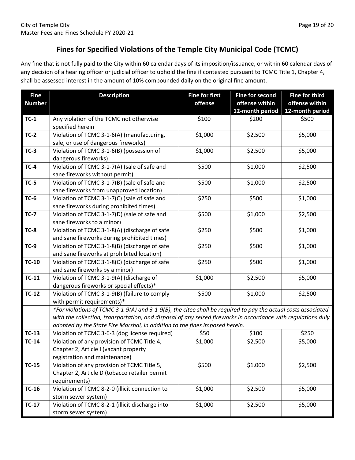# **Fines for Specified Violations of the Temple City Municipal Code (TCMC)**

Any fine that is not fully paid to the City within 60 calendar days of its imposition/issuance, or within 60 calendar days of any decision of a hearing officer or judicial officer to uphold the fine if contested pursuant to TCMC Title 1, Chapter 4, shall be assessed interest in the amount of 10% compounded daily on the original fine amount.

| <b>Fine</b><br><b>Number</b> | <b>Description</b>                                                                                            | <b>Fine for first</b><br>offense | <b>Fine for second</b><br>offense within<br>12-month period | <b>Fine for third</b><br>offense within<br>12-month period |
|------------------------------|---------------------------------------------------------------------------------------------------------------|----------------------------------|-------------------------------------------------------------|------------------------------------------------------------|
| $TC-1$                       | Any violation of the TCMC not otherwise<br>specified herein                                                   | \$100                            | \$200                                                       | \$500                                                      |
| $TC-2$                       | Violation of TCMC 3-1-6(A) (manufacturing,                                                                    | \$1,000                          | \$2,500                                                     | \$5,000                                                    |
|                              | sale, or use of dangerous fireworks)                                                                          |                                  |                                                             |                                                            |
| $TC-3$                       | Violation of TCMC 3-1-6(B) (possession of                                                                     | \$1,000                          | \$2,500                                                     | \$5,000                                                    |
|                              | dangerous fireworks)                                                                                          |                                  |                                                             |                                                            |
| $TC-4$                       | Violation of TCMC 3-1-7(A) (sale of safe and                                                                  | \$500                            | \$1,000                                                     | \$2,500                                                    |
|                              | sane fireworks without permit)                                                                                |                                  |                                                             |                                                            |
| $TC-5$                       | Violation of TCMC 3-1-7(B) (sale of safe and                                                                  | \$500                            | \$1,000                                                     | \$2,500                                                    |
|                              | sane fireworks from unapproved location)                                                                      |                                  |                                                             |                                                            |
| <b>TC-6</b>                  | Violation of TCMC 3-1-7(C) (sale of safe and                                                                  | \$250                            | \$500                                                       | \$1,000                                                    |
| $TC-7$                       | sane fireworks during prohibited times)                                                                       | \$500                            |                                                             |                                                            |
|                              | Violation of TCMC 3-1-7(D) (sale of safe and<br>sane fireworks to a minor)                                    |                                  | \$1,000                                                     | \$2,500                                                    |
| <b>TC-8</b>                  | Violation of TCMC 3-1-8(A) (discharge of safe                                                                 | \$250                            | \$500                                                       | \$1,000                                                    |
|                              | and sane fireworks during prohibited times)                                                                   |                                  |                                                             |                                                            |
| $TC-9$                       | Violation of TCMC 3-1-8(B) (discharge of safe                                                                 | \$250                            | \$500                                                       | \$1,000                                                    |
|                              | and sane fireworks at prohibited location)                                                                    |                                  |                                                             |                                                            |
| $TC-10$                      | Violation of TCMC 3-1-8(C) (discharge of safe                                                                 | \$250                            | \$500                                                       | \$1,000                                                    |
|                              | and sane fireworks by a minor)                                                                                |                                  |                                                             |                                                            |
| $TC-11$                      | Violation of TCMC 3-1-9(A) (discharge of                                                                      | \$1,000                          | \$2,500                                                     | \$5,000                                                    |
|                              | dangerous fireworks or special effects)*                                                                      |                                  |                                                             |                                                            |
| $TC-12$                      | Violation of TCMC 3-1-9(B) (failure to comply                                                                 | \$500                            | \$1,000                                                     | \$2,500                                                    |
|                              | with permit requirements)*                                                                                    |                                  |                                                             |                                                            |
|                              | *For violations of TCMC 3-1-9(A) and 3-1-9(B), the citee shall be required to pay the actual costs associated |                                  |                                                             |                                                            |
|                              | with the collection, transportation, and disposal of any seized fireworks in accordance with regulations duly |                                  |                                                             |                                                            |
|                              | adopted by the State Fire Marshal, in addition to the fines imposed herein.                                   |                                  |                                                             |                                                            |
| $TC-13$                      | Violation of TCMC 3-6-3 (dog license required)                                                                | \$50                             | \$100                                                       | \$250                                                      |
| $TC-14$                      | Violation of any provision of TCMC Title 4,                                                                   | \$1,000                          | \$2,500                                                     | \$5,000                                                    |
|                              | Chapter 2, Article I (vacant property                                                                         |                                  |                                                             |                                                            |
|                              | registration and maintenance)                                                                                 |                                  |                                                             |                                                            |
| $TC-15$                      | Violation of any provision of TCMC Title 5,                                                                   | \$500                            | \$1,000                                                     | \$2,500                                                    |
|                              | Chapter 2, Article D (tobacco retailer permit                                                                 |                                  |                                                             |                                                            |
|                              | requirements)                                                                                                 |                                  |                                                             |                                                            |
| $TC-16$                      | Violation of TCMC 8-2-0 (illicit connection to                                                                | \$1,000                          | \$2,500                                                     | \$5,000                                                    |
|                              | storm sewer system)                                                                                           |                                  |                                                             |                                                            |
| $TC-17$                      | Violation of TCMC 8-2-1 (illicit discharge into                                                               | \$1,000                          | \$2,500                                                     | \$5,000                                                    |
|                              | storm sewer system)                                                                                           |                                  |                                                             |                                                            |